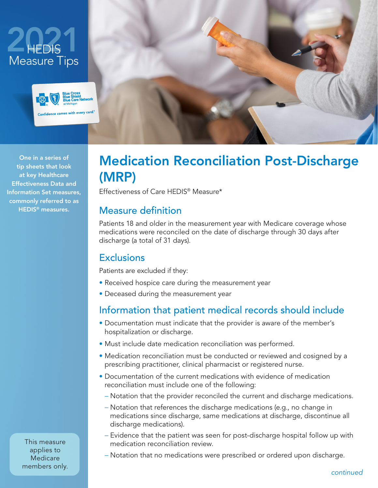



One in a series of tip sheets that look at key Healthcare Effectiveness Data and Information Set measures, commonly referred to as HEDIS® measures.



# Medication Reconciliation Post-Discharge (MRP)

Effectiveness of Care HEDIS® Measure\*

#### Measure definition

Patients 18 and older in the measurement year with Medicare coverage whose medications were reconciled on the date of discharge through 30 days after discharge (a total of 31 days).

### **Exclusions**

Patients are excluded if they:

- Received hospice care during the measurement year
- Deceased during the measurement year

# Information that patient medical records should include

- Documentation must indicate that the provider is aware of the member's hospitalization or discharge.
- Must include date medication reconciliation was performed.
- Medication reconciliation must be conducted or reviewed and cosigned by a prescribing practitioner, clinical pharmacist or registered nurse.
- Documentation of the current medications with evidence of medication reconciliation must include one of the following:
	- − Notation that the provider reconciled the current and discharge medications.
	- − Notation that references the discharge medications (e.g., no change in medications since discharge, same medications at discharge, discontinue all discharge medications).
	- − Evidence that the patient was seen for post-discharge hospital follow up with medication reconciliation review.
	- − Notation that no medications were prescribed or ordered upon discharge.

This measure applies to **Medicare** members only.